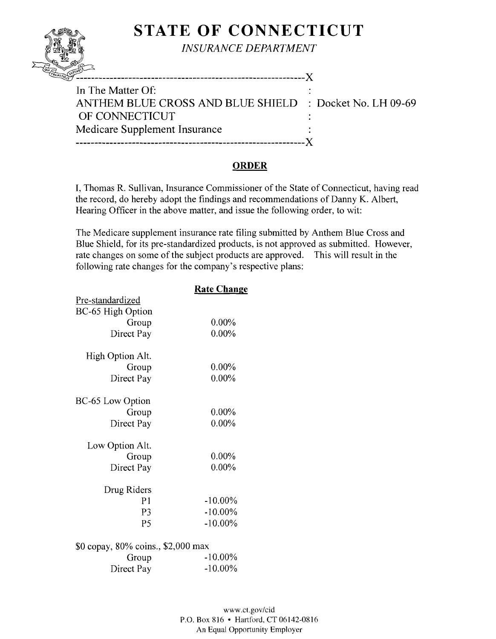# **STATE OF CONNECTICUT**

*INSURANCE DEPARTMENT* 

| In The Matter Of:<br>ANTHEM BLUE CROSS AND BLUE SHIELD : Docket No. LH 09-69 |  |
|------------------------------------------------------------------------------|--|
| OF CONNECTICUT                                                               |  |
| Medicare Supplement Insurance<br>------------------------                    |  |
|                                                                              |  |

### **ORDER**

I, Thomas R. Sullivan, Insurance Commissioner of the State of Connecticut, having read the record, do hereby adopt the findings and recommendations of Danny K. Albert, Hearing Officer in the above matter, and issue the following order, to wit:

The Medicare supplement insurance rate filing submitted by Anthem Blue Cross and Blue Shield, for its pre-standardized products, is not approved as submitted. However, rate changes on some of the subject products are approved. This will result in the following rate changes for the company's respective plans:

|                                    | <u> Rate Change</u> |
|------------------------------------|---------------------|
| Pre-standardized                   |                     |
| BC-65 High Option                  |                     |
| Group                              | $0.00\%$            |
| Direct Pay                         | $0.00\%$            |
|                                    |                     |
| High Option Alt.                   |                     |
| Group                              | $0.00\%$            |
| Direct Pay                         | 0.00%               |
|                                    |                     |
| BC-65 Low Option                   |                     |
| Group                              | $0.00\%$            |
| Direct Pay                         | 0.00%               |
|                                    |                     |
| Low Option Alt.                    |                     |
| Group                              | $0.00\%$            |
| Direct Pay                         | $0.00\%$            |
|                                    |                     |
| Drug Riders                        |                     |
| P1                                 | $-10.00\%$          |
| P <sub>3</sub>                     | $-10.00\%$          |
| P <sub>5</sub>                     | $-10.00\%$          |
|                                    |                     |
| \$0 copay, 80% coins., \$2,000 max |                     |
| Group                              | $-10.00\%$          |
| Direct Pay                         | $-10.00\%$          |
|                                    |                     |

QUI s1.\",~'<,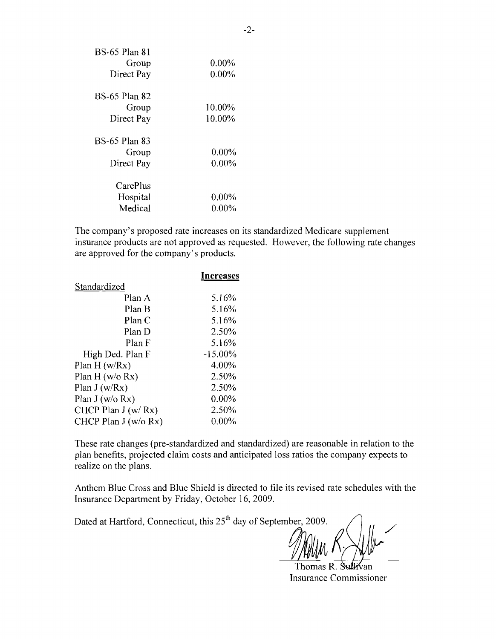| <b>BS-65 Plan 81</b> |          |
|----------------------|----------|
| Group                | $0.00\%$ |
| Direct Pay           | $0.00\%$ |
| <b>BS-65 Plan 82</b> |          |
| Group                | 10.00%   |
| Direct Pay           | 10.00%   |
| <b>BS-65 Plan 83</b> |          |
| Group                | $0.00\%$ |
| Direct Pay           | $0.00\%$ |
| CarePlus             |          |
| Hospital             | $0.00\%$ |
| Medical              | 0.00%    |

The company's proposed rate increases on its standardized Medicare supplement insurance products are not approved as requested. However, the following rate changes are approved for the company's products.

|                       | Increases  |
|-----------------------|------------|
| Standardized          |            |
| Plan A                | 5.16%      |
| Plan B                | 5.16%      |
| Plan C                | 5.16%      |
| Plan D                | 2.50%      |
| Plan F                | 5.16%      |
| High Ded. Plan F      | $-15.00\%$ |
| Plan $H(w/Rx)$        | 4.00%      |
| Plan H $(w/o Rx)$     | 2.50%      |
| Plan $J(w/Rx)$        | 2.50%      |
| Plan $J(w/o Rx)$      | $0.00\%$   |
| CHCP Plan $J(w/Rx)$   | 2.50%      |
| CHCP Plan $J(w/o Rx)$ | $0.00\%$   |
|                       |            |

These rate changes (pre-standardized and standardized) are reasonable in relation to the plan benefits, projected claim costs and anticipated loss ratios the company expects to realize on the plans.

Anthem Blue Cross and Blue Shield is directed to file its revised rate schedules with the Insurance Department by Friday, October 16,2009.

Dated at Hartford, Connecticut, this 25<sup>th</sup> day of September, 2009.

Thomas R. Sullivan Insurance Commissioner

/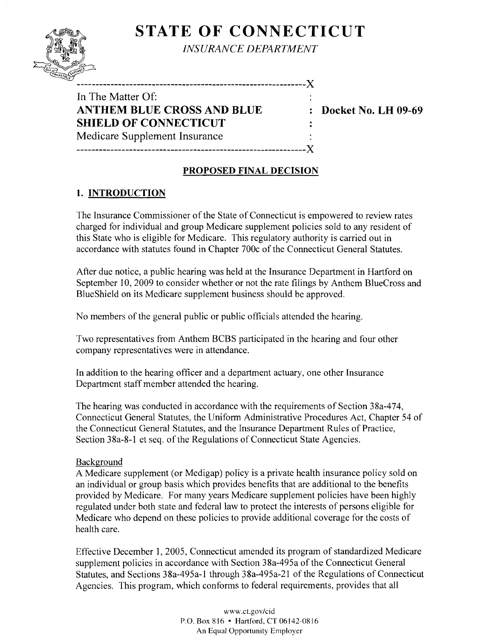## **STATE OF CONNECTICUT**



*INSURANCE DEPARTMENT*

In The Matter Of: **ANTHEM BLUE CROSS AND BLUE : Docket No. LH 09-69 SHIELD OF CONNECTICUT**  Medicare Supplement Insurance -------------------------------------------------------------)(

 $\mathbf{r}$ 

#### **PROPOSED FINAL DECISION**

## **1. INTRODUCTION**

The Insurance Commissioner of the State of Connecticut is empowered to review rates charged for individual and group Medicare supplement policies sold to any resident of this State who is eligible for Medicare. This regulatory authority is carried out in accordance with statutes found in Chapter 700c of the Connecticut General Statutes.

After due notice, a public hearing was held at the Insurance Department in Hartford on September 10, 2009 to consider whether or not the rate filings by Anthem BlueCross and BlueShield on its Medicare supplement business should be approved.

No members of the general public or public officials attended the hearing.

Two representatives from Anthem BCBS participated in the hearing and four other company representatives were in attendance.

In addition to the hearing officer and a department actuary, one other Insurance Department staff member attended the hearing.

The hearing was conducted in accordance with the requirements of Section 38a-474, Connecticut General Statutes, the Uniform Administrative Procedures Act, Chapter 54 of the Connecticut General Statutes, and the Insurance Department Rules of Practice, Section 38a-8-1 et seq. of the Regulations of Connecticut State Agencies.

#### Background

A Medicare supplement (or Medigap) policy is a private health insurance policy sold on an individual or group basis which provides benefits that are additional to the benefits provided by Medicare. For many years Medicare supplement policies have been highly regulated under both state and federal law to protect the interests of persons eligible for Medicare who depend on these policies to provide additional coverage for the costs of health care.

Effective December 1, 2005, Connecticut amended its program of standardized Medicare supplement policies in accordance with Section 38a-495a of the Connecticut General Statutes, and Sections 38a-495a-1 through 38a-495a-21 of the Regulations of Connecticut Agencies. This program, which conforms to federal requirements, provides that all

> www.CLgov/cid P.O. Box 816 • Hartford, CT 06142-0816 An Equal Opportunity Employer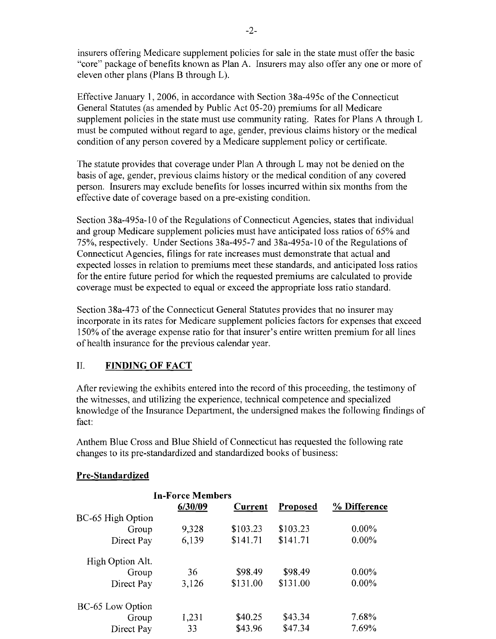insurers offering Medicare supplement policies for sale in the state must offer the basic "core" package of benefits known as Plan A. Insurers may also offer anyone or more of eleven other plans (Plans B through L).

Effective January 1,2006, in accordance with Section 38a-495c of the Connecticut General Statutes (as amended by Public Act 05-20) premiums for all Medicare supplement policies in the state must use community rating. Rates for Plans A through L must be computed without regard to age, gender, previous claims history or the medical condition of any person covered by a Medicare supplement policy or certificate.

The statute provides that coverage under Plan A through L may not be denied on the basis of age, gender, previous claims history or the medical condition of any covered person. Insurers may exclude benefits for losses incurred within six months from the effective date of coverage based on a pre-existing condition.

Section 38a-495a-10 of the Regulations of Connecticut Agencies, states that individual and group Medicare supplement policies must have anticipated loss ratios of 65% and 75%, respectively. Under Sections 38a-495-7 and 38a-495a-l0 of the Regulations of Connecticut Agencies, filings for rate increases must demonstrate that actual and expected losses in relation to premiums meet these standards, and anticipated loss ratios for the entire future period for which the requested premiums are calculated to provide coverage must be expected to equal or exceed the appropriate loss ratio standard.

Section 38a-473 of the Connecticut General Statutes provides that no insurer may incorporate in its rates for Medicare supplement policies factors for expenses that exceed 150% of the average expense ratio for that insurer's entire written premium for all lines of health insurance for the previous calendar year.

### II. **FINDING OF FACT**

After reviewing the exhibits entered into the record of this proceeding, the testimony of the witnesses, and utilizing the experience, technical competence and specialized knowledge of the Insurance Department, the undersigned makes the following findings of fact:

Anthem Blue Cross and Blue Shield of Connecticut has requested the following rate changes to its pre-standardized and standardized books of business:

#### **Pre-Standardized**

|                   | <b>In-Force Members</b> |          |          |              |
|-------------------|-------------------------|----------|----------|--------------|
|                   | 6/30/09                 | Current  | Proposed | % Difference |
| BC-65 High Option |                         |          |          |              |
| Group             | 9,328                   | \$103.23 | \$103.23 | $0.00\%$     |
| Direct Pay        | 6,139                   | \$141.71 | \$141.71 | $0.00\%$     |
| High Option Alt.  |                         |          |          |              |
| Group             | 36                      | \$98.49  | \$98.49  | $0.00\%$     |
| Direct Pay        | 3,126                   | \$131.00 | \$131.00 | $0.00\%$     |
| BC-65 Low Option  |                         |          |          |              |
| Group             | 1,231                   | \$40.25  | \$43.34  | 7.68%        |
| Direct Pay        | 33                      | \$43.96  | \$47.34  | 7.69%        |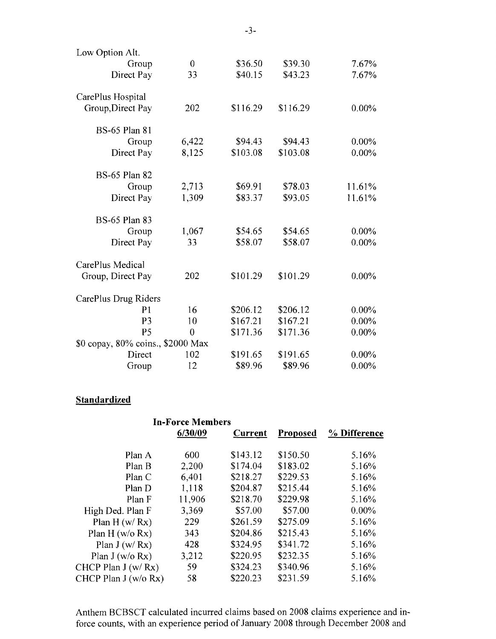| Low Option Alt.                   |                |          |          |          |
|-----------------------------------|----------------|----------|----------|----------|
| Group                             | $\overline{0}$ | \$36.50  | \$39.30  | 7.67%    |
| Direct Pay                        | 33             | \$40.15  | \$43.23  | 7.67%    |
| CarePlus Hospital                 |                |          |          |          |
| Group, Direct Pay                 | 202            | \$116.29 | \$116.29 | $0.00\%$ |
| <b>BS-65 Plan 81</b>              |                |          |          |          |
| Group                             | 6,422          | \$94.43  | \$94.43  | $0.00\%$ |
| Direct Pay                        | 8,125          | \$103.08 | \$103.08 | $0.00\%$ |
| <b>BS-65 Plan 82</b>              |                |          |          |          |
| Group                             | 2,713          | \$69.91  | \$78.03  | 11.61%   |
| Direct Pay                        | 1,309          | \$83.37  | \$93.05  | 11.61%   |
| <b>BS-65 Plan 83</b>              |                |          |          |          |
| Group                             | 1,067          | \$54.65  | \$54.65  | $0.00\%$ |
| Direct Pay                        | 33             | \$58.07  | \$58.07  | $0.00\%$ |
| CarePlus Medical                  |                |          |          |          |
| Group, Direct Pay                 | 202            | \$101.29 | \$101.29 | $0.00\%$ |
| CarePlus Drug Riders              |                |          |          |          |
| P <sub>1</sub>                    | 16             | \$206.12 | \$206.12 | $0.00\%$ |
| P <sub>3</sub>                    | 10             | \$167.21 | \$167.21 | $0.00\%$ |
| P <sub>5</sub>                    | $\overline{0}$ | \$171.36 | \$171.36 | $0.00\%$ |
| \$0 copay, 80% coins., \$2000 Max |                |          |          |          |
| Direct                            | 102            | \$191.65 | \$191.65 | $0.00\%$ |
| Group                             | 12             | \$89.96  | \$89.96  | 0.00%    |

## **Standardized**

|                      | <b>In-Force Members</b> |          |                 |              |
|----------------------|-------------------------|----------|-----------------|--------------|
|                      | 6/30/09                 | Current  | <b>Proposed</b> | % Difference |
| Plan A               | 600                     | \$143.12 | \$150.50        | 5.16%        |
| Plan B               | 2,200                   | \$174.04 | \$183.02        | 5.16%        |
| Plan C               | 6,401                   | \$218.27 | \$229.53        | 5.16%        |
| Plan D               | 1,118                   | \$204.87 | \$215.44        | 5.16%        |
| Plan F               | 11,906                  | \$218.70 | \$229.98        | 5.16%        |
| High Ded. Plan F     | 3,369                   | \$57.00  | \$57.00         | $0.00\%$     |
| Plan $H(w/Rx)$       | 229                     | \$261.59 | \$275.09        | 5.16%        |
| Plan H $(w/o Rx)$    | 343                     | \$204.86 | \$215.43        | 5.16%        |
| Plan $J(w/Rx)$       | 428                     | \$324.95 | \$341.72        | 5.16%        |
| Plan J (w/o $Rx$ )   | 3,212                   | \$220.95 | \$232.35        | 5.16%        |
| CHCP Plan J $(w/Rx)$ | 59                      | \$324.23 | \$340.96        | 5.16%        |
| CHCP Plan J (w/o Rx) | 58                      | \$220.23 | \$231.59        | 5.16%        |
|                      |                         |          |                 |              |

Anthem BCBSCT calculated incurred claims based on 2008 claims experience and inforce counts, with an experience period of January 2008 through December 2008 and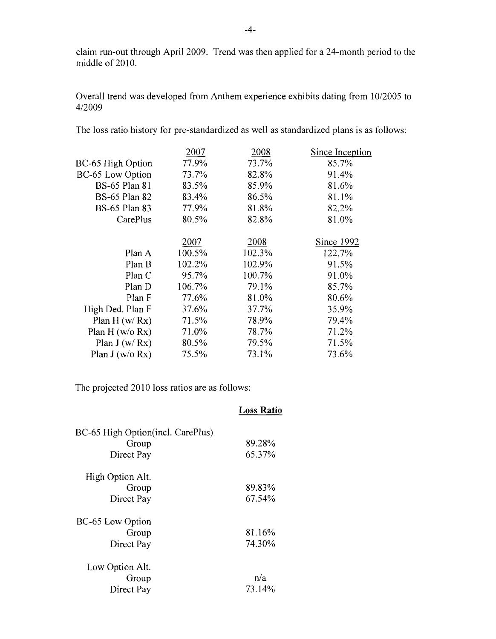claim run-out through April 2009. Trend was then applied for a 24-month period to the middle of 2010.

Overall trend was developed from Anthem experience exhibits dating from 10/2005 to 4/2009

The loss ratio history for pre-standardized as well as standardized plans is as follows:

|                      | 2007   | 2008   | Since Inception |
|----------------------|--------|--------|-----------------|
| BC-65 High Option    | 77.9%  | 73.7%  | 85.7%           |
| BC-65 Low Option     | 73.7%  | 82.8%  | 91.4%           |
| <b>BS-65 Plan 81</b> | 83.5%  | 85.9%  | 81.6%           |
| <b>BS-65 Plan 82</b> | 83.4%  | 86.5%  | 81.1%           |
| <b>BS-65 Plan 83</b> | 77.9%  | 81.8%  | 82.2%           |
| CarePlus             | 80.5%  | 82.8%  | 81.0%           |
|                      |        |        |                 |
|                      | 2007   | 2008   | Since 1992      |
| Plan A               | 100.5% | 102.3% | 122.7%          |
| Plan B               | 102.2% | 102.9% | 91.5%           |
| Plan C               | 95.7%  | 100.7% | 91.0%           |
| Plan D               | 106.7% | 79.1%  | 85.7%           |
| Plan F               | 77.6%  | 81.0%  | 80.6%           |
| High Ded. Plan F     | 37.6%  | 37.7%  | 35.9%           |
| Plan H $(w/Rx)$      | 71.5%  | 78.9%  | 79.4%           |
| Plan H ( $w/o$ Rx)   | 71.0%  | 78.7%  | 71.2%           |
| Plan $J(w/Rx)$       | 80.5%  | 79.5%  | 71.5%           |
| Plan J (w/o Rx)      | 75.5%  | 73.1%  | 73.6%           |

The projected 2010 loss ratios are as follows:

|                                   | <b>Loss Ratio</b> |
|-----------------------------------|-------------------|
| BC-65 High Option(incl. CarePlus) |                   |
| Group                             | 89.28%            |
| Direct Pay                        | 65.37%            |
| High Option Alt.                  |                   |
| Group                             | 89.83%            |
| Direct Pay                        | 67.54%            |
| BC-65 Low Option                  |                   |
| Group                             | 81.16%            |
| Direct Pay                        | 74.30%            |
| Low Option Alt.                   |                   |
| Group                             | n/a               |
| Direct Pay                        | 73.14%            |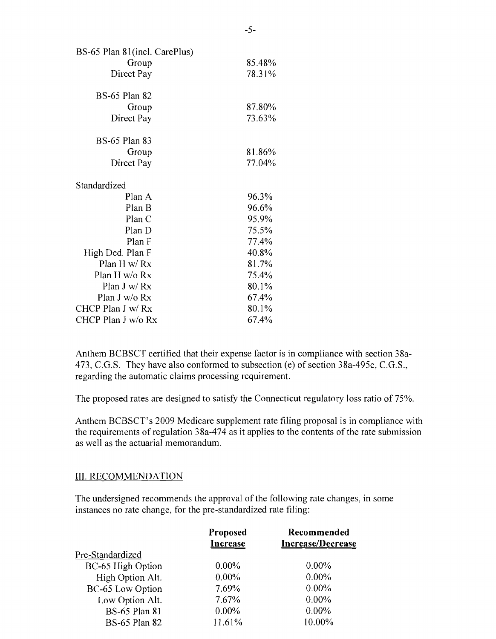| BS-65 Plan 81(incl. CarePlus) |        |
|-------------------------------|--------|
| Group                         | 85.48% |
| Direct Pay                    | 78.31% |
| <b>BS-65 Plan 82</b>          |        |
| Group                         | 87.80% |
| Direct Pay                    | 73.63% |
| <b>BS-65 Plan 83</b>          |        |
| Group                         | 81.86% |
| Direct Pay                    | 77.04% |
| Standardized                  |        |
| Plan A                        | 96.3%  |
| Plan B                        | 96.6%  |
| Plan C                        | 95.9%  |
| Plan D                        | 75.5%  |
| Plan F                        | 77.4%  |
| High Ded. Plan F              | 40.8%  |
| Plan H w/ Rx                  | 81.7%  |
| Plan H w/o Rx                 | 75.4%  |
| Plan $J w/Rx$                 | 80.1%  |
| Plan J w/o Rx                 | 67.4%  |
| CHCP Plan J w/ Rx             | 80.1%  |
| CHCP Plan J w/o Rx            | 67.4%  |

Anthem BCBSCT certified that their expense factor is in compliance with section 38a-473, C.G.S. They have also conformed to subsection (e) of section 38a-495c, C.G.S., regarding the automatic claims processing requirement.

The proposed rates are designed to satisfy the Connecticut regulatory loss ratio of 75%.

Anthem BCBSCT's 2009 Medicare supplement rate filing proposal is in compliance with the requirements of regulation 38a-474 as it applies to the contents of the rate submission as well as the actuarial memorandum.

#### III. RECOMMENDATION

The undersigned recommends the approval of the following rate changes, in some instances no rate change, for the pre-standardized rate filing:

|                      | Proposed<br><b>Increase</b> | Recommended<br>Increase/Decrease |
|----------------------|-----------------------------|----------------------------------|
| Pre-Standardized     |                             |                                  |
| BC-65 High Option    | $0.00\%$                    | $0.00\%$                         |
| High Option Alt.     | $0.00\%$                    | $0.00\%$                         |
| BC-65 Low Option     | 7.69%                       | $0.00\%$                         |
| Low Option Alt.      | 7.67%                       | $0.00\%$                         |
| <b>BS-65 Plan 81</b> | $0.00\%$                    | $0.00\%$                         |
| <b>BS-65 Plan 82</b> | 11.61%                      | 10.00%                           |